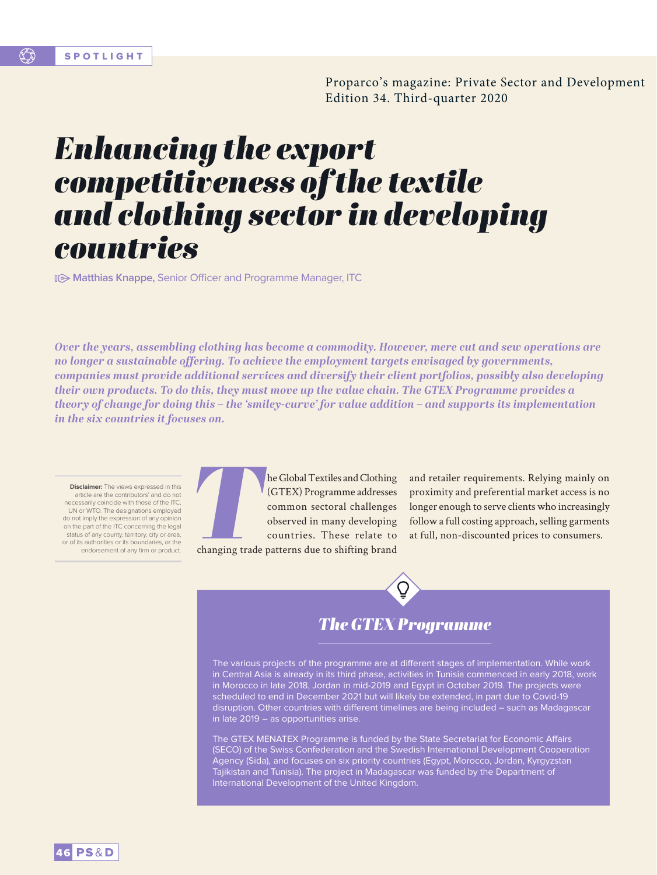Proparco's magazine: Private Sector and Development Edition 34. Third-quarter 2020

# *Enhancing the export competitiveness of the textile and clothing sector in developing countries*

**Matthias Knappe, Senior Officer and Programme Manager, ITC** 

*Over the years, assembling clothing has become a commodity. However, mere cut and sew operations are no longer a sustainable offering. To achieve the employment targets envisaged by governments, companies must provide additional services and diversify their client portfolios, possibly also developing their own products. To do this, they must move up the value chain. The GTEX Programme provides a theory of change for doing this – the 'smiley-curve' for value addition – and supports its implementation in the six countries it focuses on.* 

**Disclaimer:** The views expressed in this article are the contributors' and do not necessarily coincide with those of the ITC, UN or WTO. The designations employed do not imply the expression of any opinion on the part of the ITC concerning the legal status of any county, territory, city or area, or of its authorities or its boundaries, or the endorsement of any firm or product.



**The Global Textiles and Clothing (GTEX) Programme addresses common sectoral challenges observed in many developing countries. These relate to changing trade patterns due to shifting brand** (GTEX) Programme addresses common sectoral challenges observed in many developing countries. These relate to

and retailer requirements. Relying mainly on proximity and preferential market access is no longer enough to serve clients who increasingly follow a full costing approach, selling garments at full, non-discounted prices to consumers.

changing trade patterns due to shifting brand

# *The GTEX Programme*

The various projects of the programme are at different stages of implementation. While work in Central Asia is already in its third phase, activities in Tunisia commenced in early 2018, work in Morocco in late 2018, Jordan in mid-2019 and Egypt in October 2019. The projects were scheduled to end in December 2021 but will likely be extended, in part due to Covid-19 disruption. Other countries with different timelines are being included – such as Madagascar in late 2019 – as opportunities arise.

The GTEX MENATEX Programme is funded by the State Secretariat for Economic Affairs (SECO) of the Swiss Confederation and the Swedish International Development Cooperation Agency (Sida), and focuses on six priority countries (Egypt, Morocco, Jordan, Kyrgyzstan Tajikistan and Tunisia). The project in Madagascar was funded by the Department of International Development of the United Kingdom.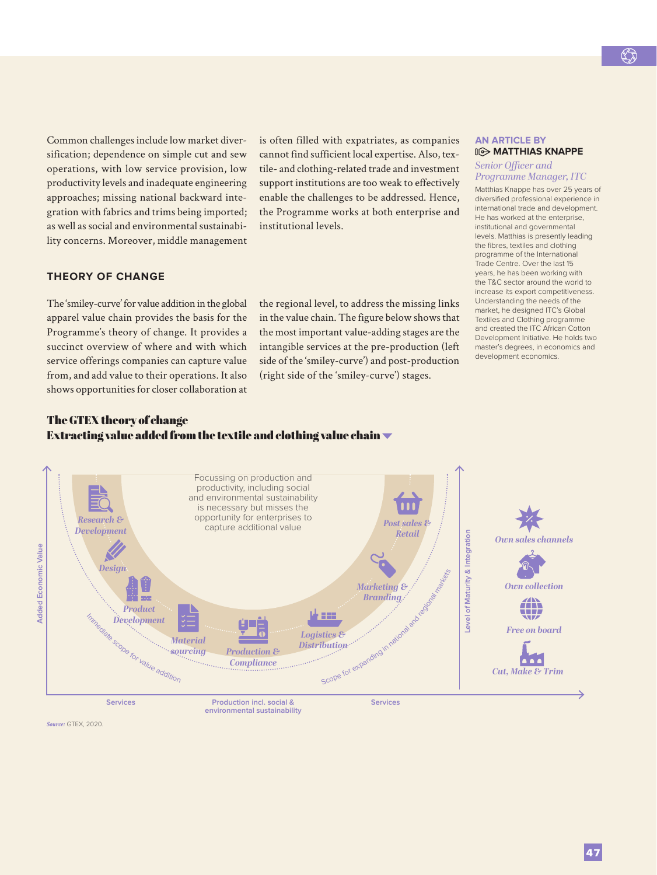Common challenges include low market diversification; dependence on simple cut and sew operations, with low service provision, low productivity levels and inadequate engineering approaches; missing national backward integration with fabrics and trims being imported; as well as social and environmental sustainability concerns. Moreover, middle management is often filled with expatriates, as companies cannot find sufficient local expertise. Also, textile- and clothing-related trade and investment support institutions are too weak to effectively enable the challenges to be addressed. Hence, the Programme works at both enterprise and institutional levels.

# **THEORY OF CHANGE**

The 'smiley-curve' for value addition in the global apparel value chain provides the basis for the Programme's theory of change. It provides a succinct overview of where and with which service offerings companies can capture value from, and add value to their operations. It also shows opportunities for closer collaboration at the regional level, to address the missing links in the value chain. The figure below shows that the most important value-adding stages are the intangible services at the pre-production (left side of the 'smiley-curve') and post-production (right side of the 'smiley-curve') stages.

#### **AN ARTICLE BY MATTHIAS KNAPPE**

#### *Senior Officer and Programme Manager, ITC*

Matthias Knappe has over 25 years of diversified professional experience in international trade and development. He has worked at the enterprise institutional and governmental levels. Matthias is presently leading the fibres, textiles and clothing programme of the International Trade Centre. Over the last 15 years, he has been working with the T&C sector around the world to increase its export competitiveness. Understanding the needs of the market, he designed ITC's Global Textiles and Clothing programme and created the ITC African Cotton Development Initiative. He holds two master's degrees, in economics and development economics.

# The GTEX theory of change Extracting value added from the textile and clothing value chain  $\blacktriangledown$



*Source:* GTEX, 2020.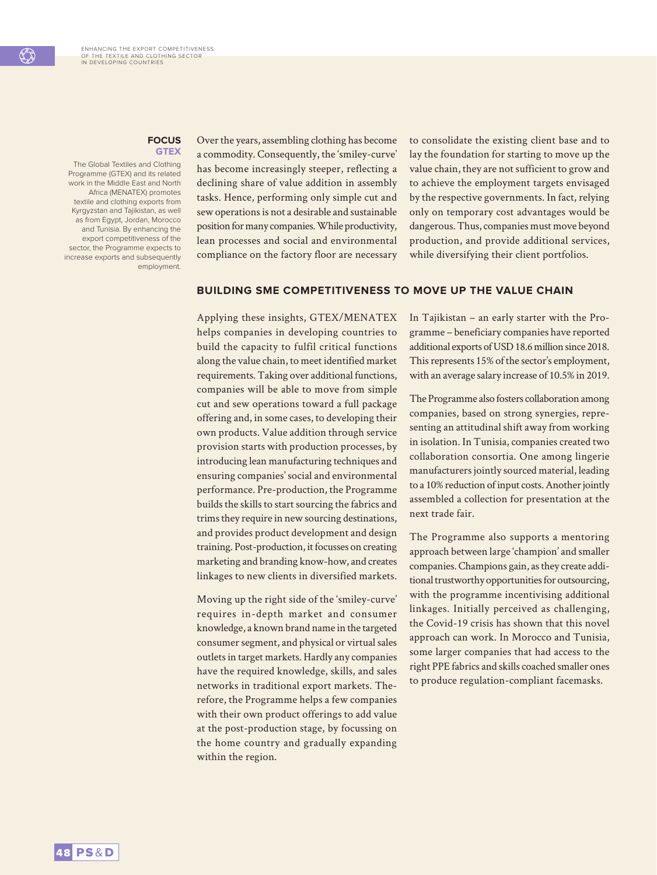#### **FOCUS GTEX**

The Global Textiles and Clothing Programme (GTEX) and its related work in the Middle East and North Africa (MENATEX) promotes textile and clothing exports from Kyrgyzstan and Tajikistan, as well as from Egypt, Jordan, Morocco and Tunisia. By enhancing the export competitiveness of the sector, the Programme expects to increase exports and subsequently employment.

Over the years, assembling clothing has become a commodity. Consequently, the 'smiley-curve' has become increasingly steeper, reflecting a declining share of value addition in assembly tasks. Hence, performing only simple cut and sew operations is not a desirable and sustainable position for many companies. While productivity, lean processes and social and environmental compliance on the factory floor are necessary to consolidate the existing client base and to lay the foundation for starting to move up the value chain, they are not sufficient to grow and to achieve the employment targets envisaged by the respective governments. In fact, relying only on temporary cost advantages would be dangerous. Thus, companies must move beyond production, and provide additional services, while diversifying their client portfolios.

## **BUILDING SME COMPETITIVENESS TO MOVE UP THE VALUE CHAIN**

Applying these insights, GTEX/MENATEX helps companies in developing countries to build the capacity to fulfil critical functions along the value chain, to meet identified market requirements. Taking over additional functions, companies will be able to move from simple cut and sew operations toward a full package offering and, in some cases, to developing their own products. Value addition through service provision starts with production processes, by introducing lean manufacturing techniques and ensuring companies' social and environmental performance. Pre-production, the Programme builds the skills to start sourcing the fabrics and trims they require in new sourcing destinations, and provides product development and design training. Post-production, it focusses on creating marketing and branding know-how, and creates linkages to new clients in diversified markets.

Moving up the right side of the 'smiley-curve' requires in-depth market and consumer knowledge, a known brand name in the targeted consumer segment, and physical or virtual sales outlets in target markets. Hardly any companies have the required knowledge, skills, and sales networks in traditional export markets. Therefore, the Programme helps a few companies with their own product offerings to add value at the post-production stage, by focussing on the home country and gradually expanding within the region.

In Tajikistan – an early starter with the Programme – beneficiary companies have reported additional exports of USD 18.6 million since 2018. This represents 15% of the sector's employment, with an average salary increase of 10.5% in 2019.

The Programme also fosters collaboration among companies, based on strong synergies, representing an attitudinal shift away from working in isolation. In Tunisia, companies created two collaboration consortia. One among lingerie manufacturers jointly sourced material, leading to a 10% reduction of input costs. Another jointly assembled a collection for presentation at the next trade fair.

The Programme also supports a mentoring approach between large 'champion' and smaller companies. Champions gain, as they create additional trustworthy opportunities for outsourcing, with the programme incentivising additional linkages. Initially perceived as challenging, the Covid-19 crisis has shown that this novel approach can work. In Morocco and Tunisia, some larger companies that had access to the right PPE fabrics and skills coached smaller ones to produce regulation-compliant facemasks.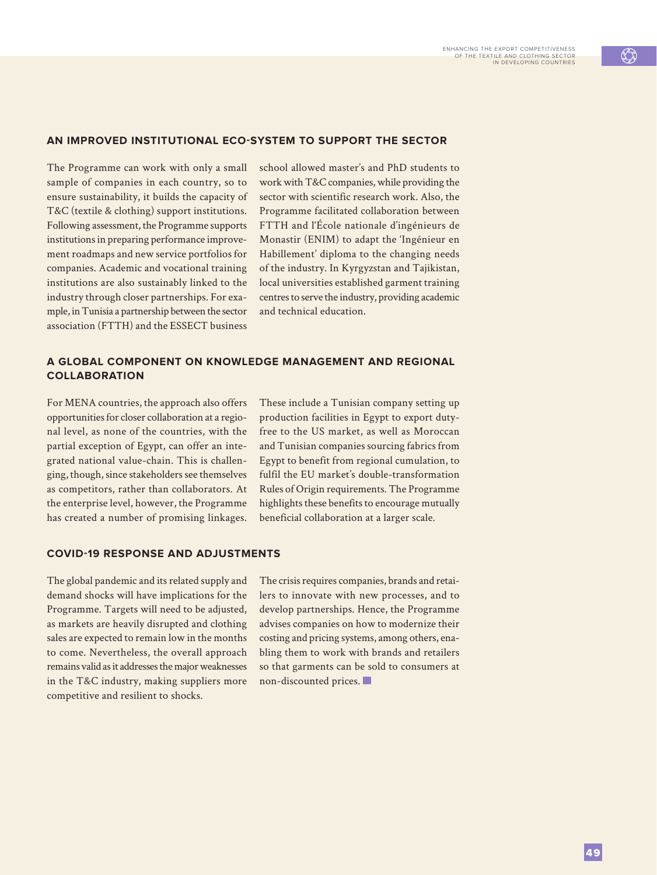#### **AN IMPROVED INSTITUTIONAL ECO-SYSTEM TO SUPPORT THE SECTOR**

The Programme can work with only a small sample of companies in each country, so to ensure sustainability, it builds the capacity of T&C (textile & clothing) support institutions. Following assessment, the Programme supports institutions in preparing performance improvement roadmaps and new service portfolios for companies. Academic and vocational training institutions are also sustainably linked to the industry through closer partnerships. For example, in Tunisia a partnership between the sector association (FTTH) and the ESSECT business

school allowed master's and PhD students to work with T&C companies, while providing the sector with scientific research work. Also, the Programme facilitated collaboration between FTTH and l'École nationale d'ingénieurs de Monastir (ENIM) to adapt the 'Ingénieur en Habillement' diploma to the changing needs of the industry. In Kyrgyzstan and Tajikistan, local universities established garment training centres to serve the industry, providing academic and technical education.

## **A GLOBAL COMPONENT ON KNOWLEDGE MANAGEMENT AND REGIONAL COLLABORATION**

For MENA countries, the approach also offers opportunities for closer collaboration at a regional level, as none of the countries, with the partial exception of Egypt, can offer an integrated national value-chain. This is challenging, though, since stakeholders see themselves as competitors, rather than collaborators. At the enterprise level, however, the Programme has created a number of promising linkages.

These include a Tunisian company setting up production facilities in Egypt to export dutyfree to the US market, as well as Moroccan and Tunisian companies sourcing fabrics from Egypt to benefit from regional cumulation, to fulfil the EU market's double-transformation Rules of Origin requirements. The Programme highlights these benefits to encourage mutually beneficial collaboration at a larger scale.

#### **COVID-19 RESPONSE AND ADJUSTMENTS**

The global pandemic and its related supply and demand shocks will have implications for the Programme. Targets will need to be adjusted, as markets are heavily disrupted and clothing sales are expected to remain low in the months to come. Nevertheless, the overall approach remains valid as it addresses the major weaknesses in the T&C industry, making suppliers more competitive and resilient to shocks.

The crisis requires companies, brands and retailers to innovate with new processes, and to develop partnerships. Hence, the Programme advises companies on how to modernize their costing and pricing systems, among others, enabling them to work with brands and retailers so that garments can be sold to consumers at non-discounted prices.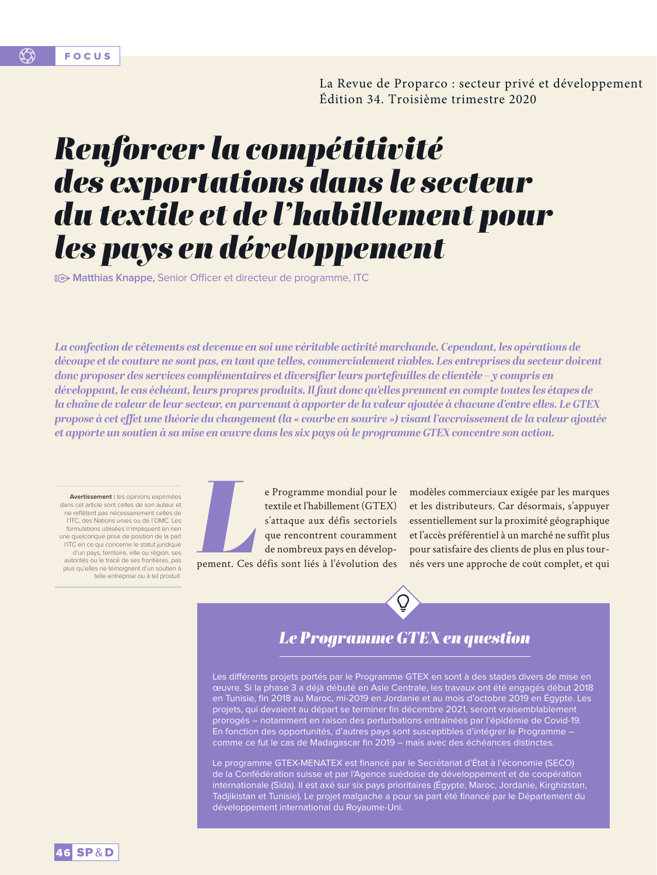La Revue de Proparco : secteur privé et développement Édition 34. Troisième trimestre 2020

# *Renforcer la compétitivité des exportations dans le secteur du textile et de l'habillement pour les pays en développement*

**Matthias Knappe, Senior Officer et directeur de programme, ITC** 

*La confection de vêtements est devenue en soi une véritable activité marchande. Cependant, les opérations de découpe et de couture ne sont pas, en tant que telles, commercialement viables. Les entreprises du secteur doivent donc proposer des services complémentaires et diversifier leurs portefeuilles de clientèle – y compris en développant, le cas échéant, leurs propres produits. Il faut donc qu'elles prennent en compte toutes les étapes de la chaîne de valeur de leur secteur, en parvenant à apporter de la valeur ajoutée à chacune d'entre elles. Le GTEX propose à cet effet une théorie du changement (la « courbe en sourire ») visant l'accroissement de la valeur ajoutée et apporte un soutien à sa mise en œuvre dans les six pays où le programme GTEX concentre son action.*

**Avertissement :** les opinions exprimées dans cet article sont celles de son auteur et ne reflètent pas nécessairement celles de l'ITC, des Nations unies ou de l'OMC. Les formulations utilisées n'impliquent en rien une quelconque prise de position de la part l'ITC en ce qui concerne le statut juridique d'un pays, territoire, ville ou région, ses autorités ou le tracé de ses frontières, pas plus qu'elles ne témoignent d'un soutien à telle entreprise ou à tel produit.



e Programme mondial pour le<br>textile et l'habillement (GTEX)<br>s'attaque aux défis sectoriels<br>que rencontrent couramment<br>de nombreux pays en dévelop-<br>pement. Ces défis sont liés à l'évolution des textile et l'habillement (GTEX) s'attaque aux défis sectoriels que rencontrent couramment de nombreux pays en développement. Ces défis sont liés à l'évolution des

modèles commerciaux exigée par les marques et les distributeurs. Car désormais, s'appuyer essentiellement sur la proximité géographique et l'accès préférentiel à un marché ne suffit plus pour satisfaire des clients de plus en plus tournés vers une approche de coût complet, et qui

# *Le Programme GTEX en question*

Les différents projets portés par le Programme GTEX en sont à des stades divers de mise en œuvre. Si la phase 3 a déjà débuté en Asie Centrale, les travaux ont été engagés début 2018 en Tunisie, fin 2018 au Maroc, mi-2019 en Jordanie et au mois d'octobre 2019 en Égypte. Les projets, qui devaient au départ se terminer fin décembre 2021, seront vraisemblablement prorogés – notamment en raison des perturbations entraînées par l'épidémie de Covid-19. En fonction des opportunités, d'autres pays sont susceptibles d'intégrer le Programme – comme ce fut le cas de Madagascar fin 2019 – mais avec des échéances distinctes.

Le programme GTEX-MENATEX est financé par le Secrétariat d'État à l'économie (SECO) de la Confédération suisse et par l'Agence suédoise de développement et de coopération internationale (Sida). Il est axé sur six pays prioritaires (Égypte, Maroc, Jordanie, Kirghizstan, Tadjikistan et Tunisie). Le projet malgache a pour sa part été financé par le Département du développement international du Royaume-Uni.

16 SP&D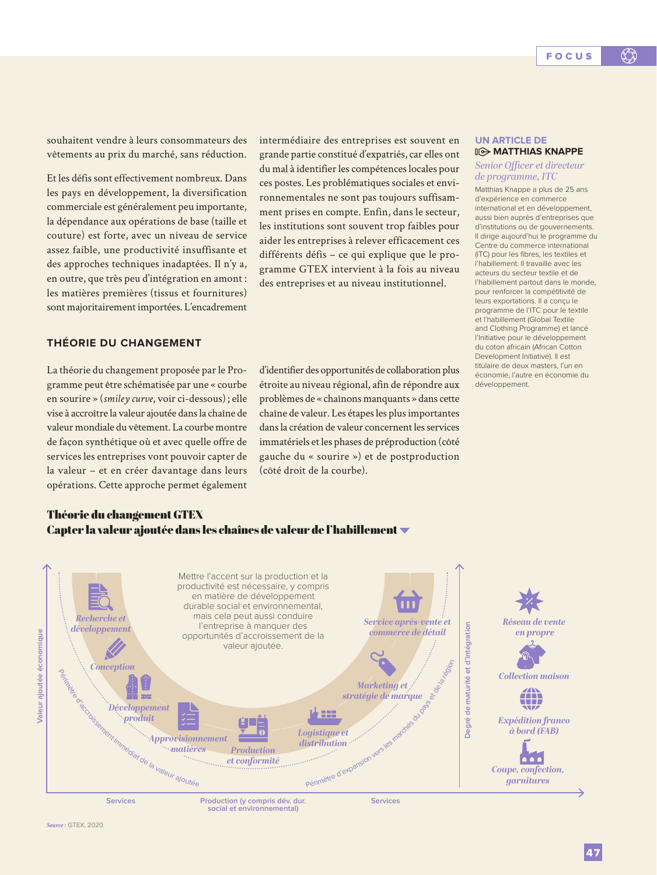souhaitent vendre à leurs consommateurs des vêtements au prix du marché, sans réduction.

Et les défis sont effectivement nombreux. Dans les pays en développement, la diversification commerciale est généralement peu importante, la dépendance aux opérations de base (taille et couture) est forte, avec un niveau de service assez faible, une productivité insuffisante et des approches techniques inadaptées. Il n'y a, en outre, que très peu d'intégration en amont : les matières premières (tissus et fournitures) sont majoritairement importées. L'encadrement

**THÉORIE DU CHANGEMENT**

La théorie du changement proposée par le Programme peut être schématisée par une « courbe en sourire » (*smiley curve*, voir ci-dessous); elle vise à accroître la valeur ajoutée dans la chaîne de valeur mondiale du vêtement. La courbe montre de façon synthétique où et avec quelle offre de services les entreprises vont pouvoir capter de la valeur – et en créer davantage dans leurs opérations. Cette approche permet également

intermédiaire des entreprises est souvent en grande partie constitué d'expatriés, car elles ont du mal à identifier les compétences locales pour ces postes. Les problématiques sociales et environnementales ne sont pas toujours suffisamment prises en compte. Enfin, dans le secteur, les institutions sont souvent trop faibles pour aider les entreprises à relever efficacement ces différents défis – ce qui explique que le programme GTEX intervient à la fois au niveau des entreprises et au niveau institutionnel.

d'identifier des opportunités de collaboration plus étroite au niveau régional, afin de répondre aux problèmes de « chaînons manquants » dans cette chaîne de valeur. Les étapes les plus importantes dans la création de valeur concernent les services immatériels et les phases de préproduction (côté gauche du « sourire ») et de postproduction (côté droit de la courbe).

#### **UN ARTICLE DE MATTHIAS KNAPPE**

#### *Senior Officer et directeur de programme, ITC*

Matthias Knappe a plus de 25 ans d'expérience en commerce international et en développement, aussi bien auprès d'entreprises que d'institutions ou de gouvernements. Il dirige aujourd'hui le programme du Centre du commerce international (ITC) pour les fibres, les textiles et l'habillement. Il travaille avec les acteurs du secteur textile et de l'habillement partout dans le monde, pour renforcer la compétitivité de leurs exportations. Il a conçu le programme de l'ITC pour le textile et l'habillement (Global Textile and Clothing Programme) et lancé l'Initiative pour le développement du coton africain (African Cotton Development Initiative). Il est titulaire de deux masters, l'un en économie, l'autre en économie du développement.

# Théorie du changement GTEX Capter la valeur ajoutée dans les chaînes de valeur de l'habillement

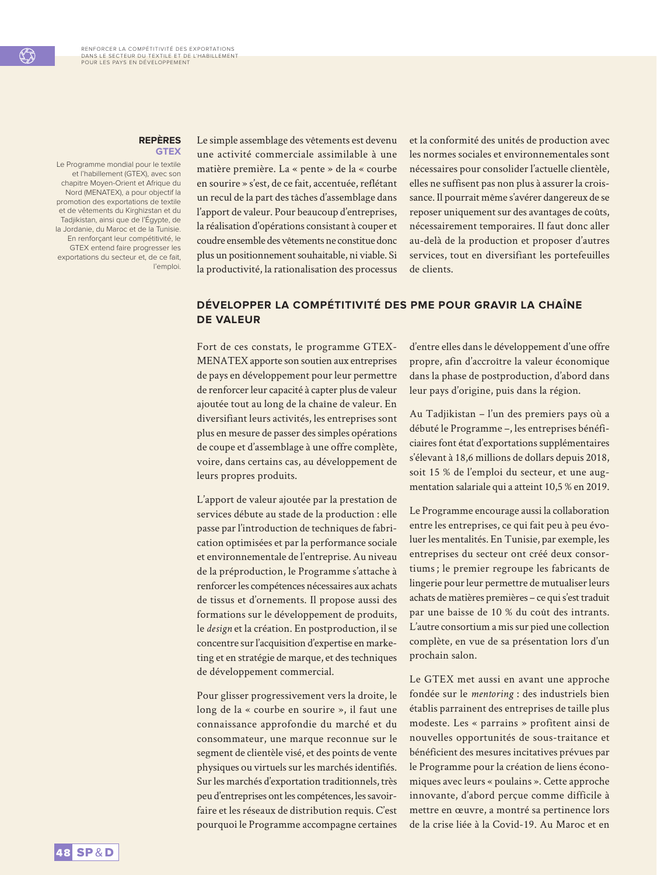#### **REPÈRES GTEX**

Le Programme mondial pour le textile et l'habillement (GTEX), avec son chapitre Moyen-Orient et Afrique du Nord (MENATEX), a pour objectif la promotion des exportations de textile et de vêtements du Kirghizstan et du Tadjikistan, ainsi que de l'Égypte, de la Jordanie, du Maroc et de la Tunisie. En renforçant leur compétitivité, le GTEX entend faire progresser les exportations du secteur et, de ce fait, l'emploi.

Le simple assemblage des vêtements est devenu une activité commerciale assimilable à une matière première. La « pente » de la « courbe en sourire » s'est, de ce fait, accentuée, reflétant un recul de la part des tâches d'assemblage dans l'apport de valeur. Pour beaucoup d'entreprises, la réalisation d'opérations consistant à couper et coudre ensemble des vêtements ne constitue donc plus un positionnement souhaitable, ni viable. Si la productivité, la rationalisation des processus et la conformité des unités de production avec les normes sociales et environnementales sont nécessaires pour consolider l'actuelle clientèle, elles ne suffisent pas non plus à assurer la croissance. Il pourrait même s'avérer dangereux de se reposer uniquement sur des avantages de coûts, nécessairement temporaires. Il faut donc aller au-delà de la production et proposer d'autres services, tout en diversifiant les portefeuilles de clients.

# **DÉVELOPPER LA COMPÉTITIVITÉ DES PME POUR GRAVIR LA CHAÎNE DE VALEUR**

Fort de ces constats, le programme GTEX-MENATEX apporte son soutien aux entreprises de pays en développement pour leur permettre de renforcer leur capacité à capter plus de valeur ajoutée tout au long de la chaîne de valeur. En diversifiant leurs activités, les entreprises sont plus en mesure de passer des simples opérations de coupe et d'assemblage à une offre complète, voire, dans certains cas, au développement de leurs propres produits.

L'apport de valeur ajoutée par la prestation de services débute au stade de la production : elle passe par l'introduction de techniques de fabrication optimisées et par la performance sociale et environnementale de l'entreprise. Au niveau de la préproduction, le Programme s'attache à renforcer les compétences nécessaires aux achats de tissus et d'ornements. Il propose aussi des formations sur le développement de produits, le *design* et la création. En postproduction, il se concentre sur l'acquisition d'expertise en marketing et en stratégie de marque, et des techniques de développement commercial.

Pour glisser progressivement vers la droite, le long de la « courbe en sourire », il faut une connaissance approfondie du marché et du consommateur, une marque reconnue sur le segment de clientèle visé, et des points de vente physiques ou virtuels sur les marchés identifiés. Sur les marchés d'exportation traditionnels, très peu d'entreprises ont les compétences, les savoirfaire et les réseaux de distribution requis. C'est pourquoi le Programme accompagne certaines

d'entre elles dans le développement d'une offre propre, afin d'accroître la valeur économique dans la phase de postproduction, d'abord dans leur pays d'origine, puis dans la région.

Au Tadjikistan – l'un des premiers pays où a débuté le Programme –, les entreprises bénéficiaires font état d'exportations supplémentaires s'élevant à 18,6 millions de dollars depuis 2018, soit 15 % de l'emploi du secteur, et une augmentation salariale qui a atteint 10,5 % en 2019.

Le Programme encourage aussi la collaboration entre les entreprises, ce qui fait peu à peu évoluer les mentalités. En Tunisie, par exemple, les entreprises du secteur ont créé deux consortiums; le premier regroupe les fabricants de lingerie pour leur permettre de mutualiser leurs achats de matières premières – ce qui s'est traduit par une baisse de 10 % du coût des intrants. L'autre consortium a mis sur pied une collection complète, en vue de sa présentation lors d'un prochain salon.

Le GTEX met aussi en avant une approche fondée sur le *mentoring* : des industriels bien établis parrainent des entreprises de taille plus modeste. Les « parrains » profitent ainsi de nouvelles opportunités de sous-traitance et bénéficient des mesures incitatives prévues par le Programme pour la création de liens économiques avec leurs « poulains ». Cette approche innovante, d'abord perçue comme difficile à mettre en œuvre, a montré sa pertinence lors de la crise liée à la Covid-19. Au Maroc et en